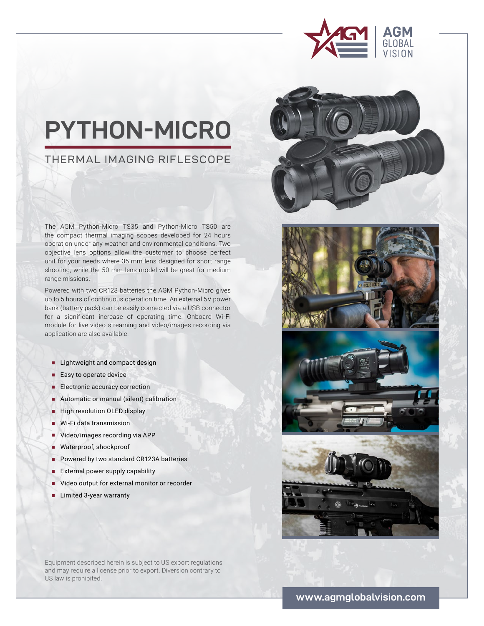

# **PYTHON-MICRO**

## THERMAL IMAGING RIFLESCOPE

The AGM Python-Micro TS35 and Python-Micro TS50 are the compact thermal imaging scopes developed for 24 hours operation under any weather and environmental conditions. Two objective lens options allow the customer to choose perfect unit for your needs where 35 mm lens designed for short range shooting, while the 50 mm lens model will be great for medium range missions.

Powered with two CR123 batteries the AGM Python-Micro gives up to 5 hours of continuous operation time. An external 5V power bank (battery pack) can be easily connected via a USB connector for a significant increase of operating time. Onboard Wi-Fi module for live video streaming and video/images recording via application are also available.

- Lightweight and compact design
- Easy to operate device
- Electronic accuracy correction
- Automatic or manual (silent) calibration
- High resolution OLED display
- Wi-Fi data transmission
- **■** Video/images recording via APP
- **■** Waterproof, shockproof
- Powered by two standard CR123A batteries
- External power supply capability
- Video output for external monitor or recorder
- **■** Limited 3-year warranty

Equipment described herein is subject to US export regulations and may require a license prior to export. Diversion contrary to US law is prohibited.